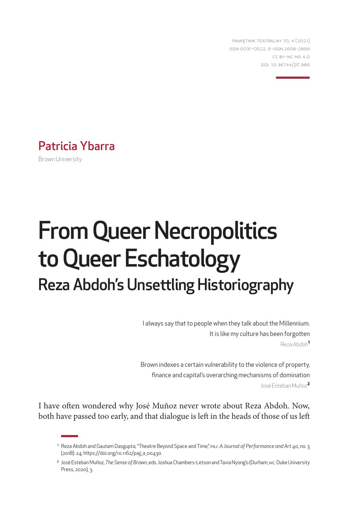PAMIĘTNIK TEATRALNY 70, 4 (2021) ISSN 0031-0522, e-ISSN 2658-2899 CC BY-NC-ND 4.0 DOI: [10.36744/pt.](10.36744/pt)986

## Patricia Ybarra

Brown University

# From Queer Necropolitics to Queer Eschatology Reza Abdoh's Unsettling Historiography

I always say that to people when they talk about the Millennium. It is like my culture has been forgotten Reza Abdoh**<sup>1</sup>**

Brown indexes a certain vulnerability to the violence of property, finance and capital's overarching mechanisms of domination José Esteban Muñoz**<sup>2</sup>**

I have often wondered why José Muñoz never wrote about Reza Abdoh. Now, both have passed too early, and that dialogue is left in the heads of those of us left

<sup>1</sup> Reza Abdoh and Gautam Dasgupta, "Theatre Beyond Space and Time," *PAJ: A Journal of Performance and Art* 40, no. 3 (2018): 24, [https://doi.org/10.1162/pajj\\_a\\_00430](https://doi.org/10.1162/pajj_a_00430).

<sup>2</sup> José Esteban Muñoz, *The Sense of Brown*, eds. Joshua Chambers-Letson and Tavia Nyong'o (Durham, NC: Duke University Press, 2020), 3.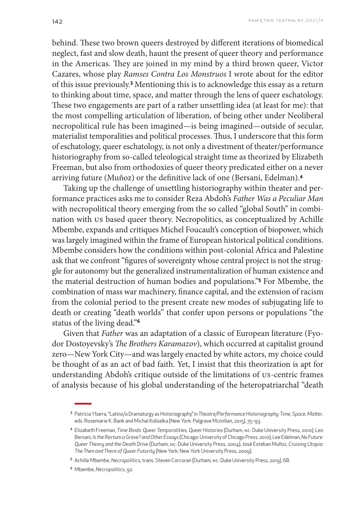behind. These two brown queers destroyed by different iterations of biomedical neglect, fast and slow death, haunt the present of queer theory and performance in the Americas. They are joined in my mind by a third brown queer, Victor Cazares, whose play *Ramses Contra Los Monstruos* I wrote about for the editor of this issue previously.**<sup>3</sup>** Mentioning this is to acknowledge this essay as a return to thinking about time, space, and matter through the lens of queer eschatology. These two engagements are part of a rather unsettling idea (at least for me): that the most compelling articulation of liberation, of being other under Neoliberal necropolitical rule has been imagined—is being imagined—outside of secular, materialist temporalities and political processes. Thus, I underscore that this form of eschatology, queer eschatology, is not only a divestment of theater/performance historiography from so-called teleological straight time as theorized by Elizabeth Freeman, but also from orthodoxies of queer theory predicated either on a never arriving future (Muñoz) or the definitive lack of one (Bersani, Edelman).**<sup>4</sup>**

Taking up the challenge of unsettling historiography within theater and performance practices asks me to consider Reza Abdoh's *Father Was a Peculiar Man* with necropolitical theory emerging from the so called "global South" in combination with US based queer theory. Necropolitics, as conceptualized by Achille Mbembe, expands and critiques Michel Foucault's conception of biopower, which was largely imagined within the frame of European historical political conditions. Mbembe considers how the conditions within post-colonial Africa and Palestine ask that we confront "figures of sovereignty whose central project is not the struggle for autonomy but the generalized instrumentalization of human existence and the material destruction of human bodies and populations."**<sup>5</sup>** For Mbembe, the combination of mass war machinery, finance capital, and the extension of racism from the colonial period to the present create new modes of subjugating life to death or creating "death worlds" that confer upon persons or populations "the status of the living dead."**<sup>6</sup>**

Given that *Father* was an adaptation of a classic of European literature (Fyodor Dostoyevsky's *The Brothers Karamazov*), which occurred at capitalist ground zero—New York City—and was largely enacted by white actors, my choice could be thought of as an act of bad faith. Yet, I insist that this theorization is apt for understanding Abdoh's critique outside of the limitations of US-centric frames of analysis because of his global understanding of the heteropatriarchal "death

<sup>6</sup> Mbembe, *Necropolitics*, 92.

<sup>3</sup> Patricia Ybarra, "Latino/a Dramaturgy as Historiography," in *Theatre/Performance Historiography: Time, Space, Matter*, eds. Rosemarie K. Bank and Michal Kobialka (New York: Palgrave Mcmillan, 2015), 75–93.

<sup>4</sup> Elizabeth Freeman, *Time Binds: Queer Temporalities, Queer Histories* (Durham, NC: Duke University Press, 2010); Leo Bersani, *I*s *the Rectum a Grave? and Other Essays* (Chicago: University of Chicago Press, 2010); Lee Edelman, *No Future: Queer Theory and the Death Drive* (Durham, NC: Duke University Press, 2004); José Esteban Muñoz, *Cruising Utopia: The Then and There of Queer Futurity* (New York: New York University Press, 2009).

<sup>5</sup> Achille Mbembe, *Necropolitics*, trans. Steven Corcoran (Durham, NC: Duke University Press, 2019), 68.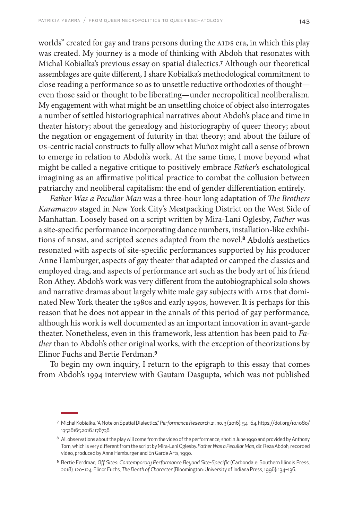worlds" created for gay and trans persons during the AIDS era, in which this play was created. My journey is a mode of thinking with Abdoh that resonates with Michal Kobialka's previous essay on spatial dialectics.**<sup>7</sup>** Although our theoretical assemblages are quite different, I share Kobialka's methodological commitment to close reading a performance so as to unsettle reductive orthodoxies of thought even those said or thought to be liberating—under necropolitical neoliberalism. My engagement with what might be an unsettling choice of object also interrogates a number of settled historiographical narratives about Abdoh's place and time in theater history; about the genealogy and historiography of queer theory; about the negation or engagement of futurity in that theory; and about the failure of US-centric racial constructs to fully allow what Muñoz might call a sense of brown to emerge in relation to Abdoh's work. At the same time, I move beyond what might be called a negative critique to positively embrace *Father*'s eschatological imagining as an affirmative political practice to combat the collusion between patriarchy and neoliberal capitalism: the end of gender differentiation entirely.

*Father Was a Peculiar Man* was a three-hour long adaptation of *The Brothers Karamazov* staged in New York City's Meatpacking District on the West Side of Manhattan. Loosely based on a script written by Mira-Lani Oglesby, *Father* was a site-specific performance incorporating dance numbers, installation-like exhibitions of BDSM, and scripted scenes adapted from the novel.**8** Abdoh's aesthetics resonated with aspects of site-specific performances supported by his producer Anne Hamburger, aspects of gay theater that adapted or camped the classics and employed drag, and aspects of performance art such as the body art of his friend Ron Athey. Abdoh's work was very different from the autobiographical solo shows and narrative dramas about largely white male gay subjects with AIDS that dominated New York theater the 1980s and early 1990s, however. It is perhaps for this reason that he does not appear in the annals of this period of gay performance, although his work is well documented as an important innovation in avant-garde theater. Nonetheless, even in this framework, less attention has been paid to *Father* than to Abdoh's other original works, with the exception of theorizations by Elinor Fuchs and Bertie Ferdman.**<sup>9</sup>**

To begin my own inquiry, I return to the epigraph to this essay that comes from Abdoh's 1994 interview with Gautam Dasgupta, which was not published

<sup>7</sup> Michal Kobialka, "A Note on Spatial Dialectics," *Performance Research* 21, no. 3 (2016): 54–64, [https://doi.org/10.1080/](https://doi.org/10.1080/13528165.2016.1176738) [13528165.2016.1176738](https://doi.org/10.1080/13528165.2016.1176738).

<sup>8</sup> All observations about the play will come from the video of the performance, shot in June 1990 and provided by Anthony Torn, which is very different from the script by Mira-Lani Oglesby. *Father Was a Peculiar Man,* dir. Reza Abdoh,recorded video, produced by Anne Hamburger and En Garde Arts, 1990.

<sup>9</sup> Bertie Ferdman, *Off Sites: Contemporary Performance Beyond Site-Specific* (Carbondale: Southern Illinois Press, 2018), 120–124; Elinor Fuchs, *The Death of Character* (Bloomington: University of Indiana Press, 1996): 134–136.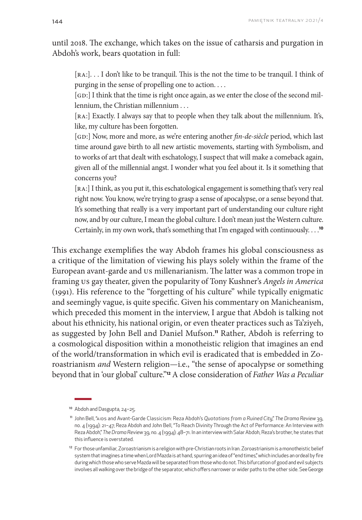until 2018. The exchange, which takes on the issue of catharsis and purgation in Abdoh's work, bears quotation in full:

[RA:]. . . I don't like to be tranquil. This is the not the time to be tranquil. I think of purging in the sense of propelling one to action. . . .

[GD:] I think that the time is right once again, as we enter the close of the second millennium, the Christian millennium . . .

[RA:] Exactly. I always say that to people when they talk about the millennium. It's, like, my culture has been forgotten.

[GD:] Now, more and more, as we're entering another *fin-de-siècle* period, which last time around gave birth to all new artistic movements, starting with Symbolism, and to works of art that dealt with eschatology, I suspect that will make a comeback again, given all of the millennial angst. I wonder what you feel about it. Is it something that concerns you?

[RA:] I think, as you put it, this eschatological engagement is something that's very real right now. You know, we're trying to grasp a sense of apocalypse, or a sense beyond that. It's something that really is a very important part of understanding our culture right now, and by our culture, I mean the global culture. I don't mean just the Western culture. Certainly, in my own work, that's something that I'm engaged with continuously. . . .**<sup>10</sup>**

This exchange exemplifies the way Abdoh frames his global consciousness as a critique of the limitation of viewing his plays solely within the frame of the European avant-garde and US millenarianism. The latter was a common trope in framing US gay theater, given the popularity of Tony Kushner's *Angels in America* (1991). His reference to the "forgetting of his culture" while typically enigmatic and seemingly vague, is quite specific. Given his commentary on Manicheanism, which preceded this moment in the interview, I argue that Abdoh is talking not about his ethnicity, his national origin, or even theater practices such as Ta'ziyeh, as suggested by John Bell and Daniel Mufson.**11** Rather, Abdoh is referring to a cosmological disposition within a monotheistic religion that imagines an end of the world/transformation in which evil is eradicated that is embedded in Zoroastrianism *and* Western religion—i.e., "the sense of apocalypse or something beyond that in 'our global' culture."**12** A close consideration of *Father Was a Peculiar* 

<sup>10</sup> Abdoh and Dasgupta, 24–25.

<sup>11</sup> John Bell, "AIDS and Avant-Garde Classicism: Reza Abdoh's *Quotations from a Ruined City*," *The Drama Review* 39, no. 4 (1994): 21–47; Reza Abdoh and John Bell, "To Reach Divinity Through the Act of Performance: An Interview with Reza Abdoh," *The Drama Review* 39, no. 4 (1994): 48–71. In an interview with Salar Abdoh, Reza's brother, he states that this influence is overstated.

<sup>&</sup>lt;sup>12</sup> For those unfamiliar, Zoroastrianism is a religion with pre-Christian roots in Iran. Zoroastrianism is a monotheistic belief system that imagines a time when Lord Mazda is at hand, spurring an idea of "end times," which includes an ordeal by fire during which those who serve Mazda will be separated from those who do not. This bifurcation of good and evil subjects involves all walking over the bridge of the separator, which offers narrower or wider paths to the other side. See George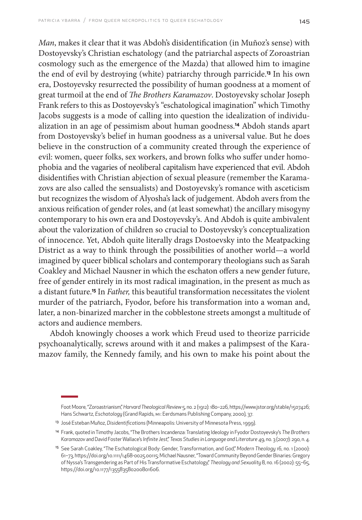*Man*, makes it clear that it was Abdoh's disidentification (in Muñoz's sense) with Dostoyevsky's Christian eschatology (and the patriarchal aspects of Zoroastrian cosmology such as the emergence of the Mazda) that allowed him to imagine the end of evil by destroying (white) patriarchy through parricide.**13** In his own era, Dostoyevsky resurrected the possibility of human goodness at a moment of great turmoil at the end of *The Brothers Karamazov*. Dostoyevsky scholar Joseph Frank refers to this as Dostoyevsky's "eschatological imagination" which Timothy Jacobs suggests is a mode of calling into question the idealization of individualization in an age of pessimism about human goodness.**14** Abdoh stands apart from Dostoyevsky's belief in human goodness as a universal value. But he does believe in the construction of a community created through the experience of evil: women, queer folks, sex workers, and brown folks who suffer under homophobia and the vagaries of neoliberal capitalism have experienced that evil. Abdoh disidentifies with Christian abjection of sexual pleasure (remember the Karamazovs are also called the sensualists) and Dostoyevsky's romance with asceticism but recognizes the wisdom of Alyosha's lack of judgement. Abdoh avers from the anxious reification of gender roles, and (at least somewhat) the ancillary misogyny contemporary to his own era and Dostoyevsky's. And Abdoh is quite ambivalent about the valorization of children so crucial to Dostoyevsky's conceptualization of innocence. Yet, Abdoh quite literally drags Dostoevsky into the Meatpacking District as a way to think through the possibilities of another world—a world imagined by queer biblical scholars and contemporary theologians such as Sarah Coakley and Michael Nausner in which the eschaton offers a new gender future, free of gender entirely in its most radical imagination, in the present as much as a distant future.**15** In *Father,* this beautiful transformation necessitates the violent murder of the patriarch, Fyodor, before his transformation into a woman and, later, a non-binarized marcher in the cobblestone streets amongst a multitude of actors and audience members.

Abdoh knowingly chooses a work which Freud used to theorize parricide psychoanalytically, screws around with it and makes a palimpsest of the Karamazov family, the Kennedy family, and his own to make his point about the

Foot Moore, "Zoroastrianism," *Harvard Theological Review* 5, no. 2 (1912): 180–226, <https://www.jstor.org/stable/1507426>; Hans Schwartz, *Eschatology* (Grand Rapids, MI: Eerdsmans Publishing Company, 2000), 37.

<sup>13</sup> José Esteban Muñoz, *Disidentifications* (Minneapolis: University of Minnesota Press, 1999).

<sup>14</sup> Frank, quoted in Timothy Jacobs, "The Brothers Incandenza: Translating Ideology in Fyodor Dostoyevsky's *The Brothers Karamazov* and David Foster Wallace's *Infinite Jest*," *Texas Studies in Language and Literature* 49, no. 3 (2007): 290, n. 4.

<sup>15</sup> See Sarah Coakley, "The Eschatological Body: Gender, Transformation, and God," *Modern Theology* 16, no. 1 (2000): 61–73, [https://doi.org/10.1111/1468-0025.00115;](https://doi.org/10.1111/1468-0025.00115) Michael Nausner, "Toward Community Beyond Gender Binaries: Gregory of Nyssa's Transgendering as Part of His Transformative Eschatology," *Theology and Sexuality* 8, no. 16 (2002): 55–65, <https://doi.org/10.1177/135583580200801606>.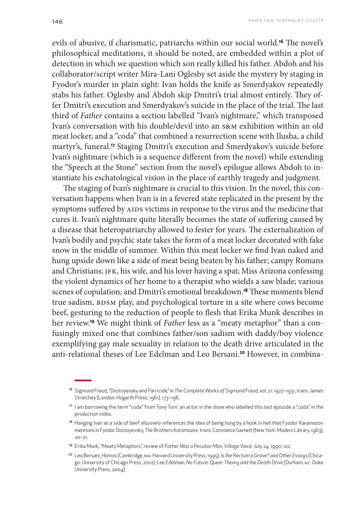evils of abusive, if charismatic, patriarchs within our social world.**16** The novel's philosophical meditations, it should be noted, are embedded within a plot of detection in which we question which son really killed his father. Abdoh and his collaborator/script writer Mira-Lani Oglesby set aside the mystery by staging in Fyodor's murder in plain sight: Ivan holds the knife as Smerdyakov repeatedly stabs his father. Oglesby and Abdoh skip Dmitri's trial almost entirely. They offer Dmitri's execution and Smerdyakov's suicide in the place of the trial. The last third of *Father* contains a section labelled "Ivan's nightmare," which transposed Ivan's conversation with his double/devil into an s&m exhibition within an old meat locker, and a "coda" that combined a resurrection scene with Ilusha, a child martyr's, funeral.**17** Staging Dmitri's execution and Smerdyakov's suicide before Ivan's nightmare (which is a sequence different from the novel) while extending the "Speech at the Stone" section from the novel's epilogue allows Abdoh to instantiate his eschatological vision in the place of earthly tragedy and judgment.

The staging of Ivan's nightmare is crucial to this vision. In the novel, this conversation happens when Ivan is in a fevered state replicated in the present by the symptoms suffered by AIDS victims in response to the virus and the medicine that cures it. Ivan's nightmare quite literally becomes the state of suffering caused by a disease that heteropatriarchy allowed to fester for years. The externalization of Ivan's bodily and psychic state takes the form of a meat locker decorated with fake snow in the middle of summer. Within this meat locker we find Ivan naked and hung upside down like a side of meat being beaten by his father; campy Romans and Christians; JFK, his wife, and his lover having a spat; Miss Arizona confessing the violent dynamics of her home to a therapist who wields a saw blade; various scenes of copulation; and Dmitri's emotional breakdown.**18** These moments blend true sadism, BDSM play, and psychological torture in a site where cows become beef, gesturing to the reduction of people to flesh that Erika Munk describes in her review.**19** We might think of *Father* less as a "meaty metaphor" than a confusingly mixed one that combines father/son sadism with daddy/boy violence exemplifying gay male sexuality in relation to the death drive articulated in the anti-relational theses of Lee Edelman and Leo Bersani.**20** However, in combina-

<sup>16</sup> Sigmund Freud, "Dostoyevsky and Parricide," in *The Complete Works of Sigmund Freud,* vol. 21: 1927–1931, trans. James Stratchey (London: Hogarth Press, 1961), 173-196.

<sup>17</sup> I am borrowing the term "coda" from Tony Torn, an actor in the show who labelled this last episode a "coda" in the production video*.*

<sup>&</sup>lt;sup>18</sup> Hanging Ivan as a side of beef allusively references the idea of being hung by a hook in hell that Fyodor Karamazov mentions in Fyodor Dostoyevsky, *The Brothers Karamazov*, trans. Constance Garnett (New York: Modern Library, 1963), 20–21.

<sup>19</sup> Erika Munk, "Meaty Metaphors," review of *Father Was a Peculiar Man*, *Village Voice*, July 24, 1990, 102.

<sup>20</sup> Leo Bersani, *Homos* (Cambridge, MA: Harvard University Press, 1995); *Is the Rectum a Grave? and Other Essays* (Chicago: University of Chicago Press, 2010); Lee Edelman, *No Future: Queer Theory and the Death Drive* (Durham, NC: Duke University Press, 2004).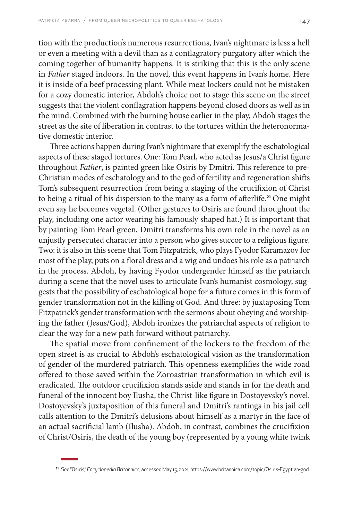tion with the production's numerous resurrections, Ivan's nightmare is less a hell or even a meeting with a devil than as a conflagratory purgatory after which the coming together of humanity happens. It is striking that this is the only scene in *Father* staged indoors. In the novel, this event happens in Ivan's home. Here it is inside of a beef processing plant. While meat lockers could not be mistaken for a cozy domestic interior, Abdoh's choice not to stage this scene on the street suggests that the violent conflagration happens beyond closed doors as well as in the mind. Combined with the burning house earlier in the play, Abdoh stages the street as the site of liberation in contrast to the tortures within the heteronormative domestic interior.

Three actions happen during Ivan's nightmare that exemplify the eschatological aspects of these staged tortures. One: Tom Pearl, who acted as Jesus/a Christ figure throughout *Father*, is painted green like Osiris by Dmitri. This reference to pre-Christian modes of eschatology and to the god of fertility and regeneration shifts Tom's subsequent resurrection from being a staging of the crucifixion of Christ to being a ritual of his dispersion to the many as a form of afterlife.**21** One might even say he becomes vegetal. (Other gestures to Osiris are found throughout the play, including one actor wearing his famously shaped hat.) It is important that by painting Tom Pearl green, Dmitri transforms his own role in the novel as an unjustly persecuted character into a person who gives succor to a religious figure. Two: it is also in this scene that Tom Fitzpatrick, who plays Fyodor Karamazov for most of the play, puts on a floral dress and a wig and undoes his role as a patriarch in the process. Abdoh, by having Fyodor undergender himself as the patriarch during a scene that the novel uses to articulate Ivan's humanist cosmology, suggests that the possibility of eschatological hope for a future comes in this form of gender transformation not in the killing of God. And three: by juxtaposing Tom Fitzpatrick's gender transformation with the sermons about obeying and worshiping the father (Jesus/God), Abdoh ironizes the patriarchal aspects of religion to clear the way for a new path forward without patriarchy.

The spatial move from confinement of the lockers to the freedom of the open street is as crucial to Abdoh's eschatological vision as the transformation of gender of the murdered patriarch. This openness exemplifies the wide road offered to those saved within the Zoroastrian transformation in which evil is eradicated. The outdoor crucifixion stands aside and stands in for the death and funeral of the innocent boy Ilusha, the Christ-like figure in Dostoyevsky's novel. Dostoyevsky's juxtaposition of this funeral and Dmitri's rantings in his jail cell calls attention to the Dmitri's delusions about himself as a martyr in the face of an actual sacrificial lamb (Ilusha). Abdoh, in contrast, combines the crucifixion of Christ/Osiris, the death of the young boy (represented by a young white twink

<sup>21</sup> See "Osiris," *Encyclopedia Britannica*, accessed May 15, 2021, <https://www.britannica.com/topic/Osiris-Egyptian-god>.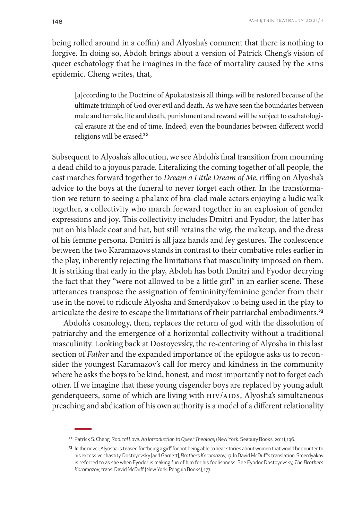being rolled around in a coffin) and Alyosha's comment that there is nothing to forgive. In doing so, Abdoh brings about a version of Patrick Cheng's vision of queer eschatology that he imagines in the face of mortality caused by the AIDS epidemic. Cheng writes, that,

[a]ccording to the Doctrine of Apokatastasis all things will be restored because of the ultimate triumph of God over evil and death. As we have seen the boundaries between male and female, life and death, punishment and reward will be subject to eschatological erasure at the end of time. Indeed, even the boundaries between different world religions will be erased. **22**

Subsequent to Alyosha's allocution, we see Abdoh's final transition from mourning a dead child to a joyous parade. Literalizing the coming together of all people, the cast marches forward together to *Dream a Little Dream of Me*, riffing on Alyosha's advice to the boys at the funeral to never forget each other. In the transformation we return to seeing a phalanx of bra-clad male actors enjoying a ludic walk together, a collectivity who march forward together in an explosion of gender expressions and joy. This collectivity includes Dmitri and Fyodor; the latter has put on his black coat and hat, but still retains the wig, the makeup, and the dress of his femme persona. Dmitri is all jazz hands and fey gestures. The coalescence between the two Karamazovs stands in contrast to their combative roles earlier in the play, inherently rejecting the limitations that masculinity imposed on them. It is striking that early in the play, Abdoh has both Dmitri and Fyodor decrying the fact that they "were not allowed to be a little girl" in an earlier scene. These utterances transpose the assignation of femininity/feminine gender from their use in the novel to ridicule Alyosha and Smerdyakov to being used in the play to articulate the desire to escape the limitations of their patriarchal embodiments.**<sup>23</sup>**

Abdoh's cosmology, then, replaces the return of god with the dissolution of patriarchy and the emergence of a horizontal collectivity without a traditional masculinity. Looking back at Dostoyevsky, the re-centering of Alyosha in this last section of *Father* and the expanded importance of the epilogue asks us to reconsider the youngest Karamazov's call for mercy and kindness in the community where he asks the boys to be kind, honest, and most importantly not to forget each other. If we imagine that these young cisgender boys are replaced by young adult genderqueers, some of which are living with HIV/AIDS, Alyosha's simultaneous preaching and abdication of his own authority is a model of a different relationality

<sup>22</sup> Patrick S. Cheng, *Radical Love: An Introduction to Queer Theology* (New York: Seabury Books, 2011), 136.

<sup>&</sup>lt;sup>23</sup> In the novel, Alyosha is teased for "being a girl" for not being able to hear stories about women that would be counter to his excessive chastity, Dostoyevsky [and Garnett], *Brothers Karamazov*, 17. In David McDuff's translation, Smerdyakov is referred to as she when Fyodor is making fun of him for his foolishness. See Fyodor Dostoyevsky, *The Brothers Karamazov*, trans. David McDuff (New York: Penguin Books), 177.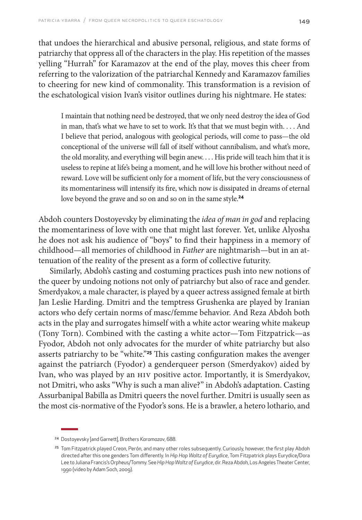that undoes the hierarchical and abusive personal, religious, and state forms of patriarchy that oppress all of the characters in the play. His repetition of the masses yelling "Hurrah" for Karamazov at the end of the play, moves this cheer from referring to the valorization of the patriarchal Kennedy and Karamazov families to cheering for new kind of commonality. This transformation is a revision of the eschatological vision Ivan's visitor outlines during his nightmare. He states:

I maintain that nothing need be destroyed, that we only need destroy the idea of God in man, that's what we have to set to work. It's that that we must begin with. . . . And I believe that period, analogous with geological periods, will come to pass—the old conceptional of the universe will fall of itself without cannibalism, and what's more, the old morality, and everything will begin anew. . . . His pride will teach him that it is useless to repine at life's being a moment, and he will love his brother without need of reward. Love will be sufficient only for a moment of life, but the very consciousness of its momentariness will intensify its fire, which now is dissipated in dreams of eternal love beyond the grave and so on and so on in the same style.**<sup>24</sup>**

Abdoh counters Dostoyevsky by eliminating the *idea of man in god* and replacing the momentariness of love with one that might last forever. Yet, unlike Alyosha he does not ask his audience of "boys" to find their happiness in a memory of childhood—all memories of childhood in *Father* are nightmarish—but in an attenuation of the reality of the present as a form of collective futurity.

Similarly, Abdoh's casting and costuming practices push into new notions of the queer by undoing notions not only of patriarchy but also of race and gender. Smerdyakov, a male character, is played by a queer actress assigned female at birth Jan Leslie Harding. Dmitri and the temptress Grushenka are played by Iranian actors who defy certain norms of masc/femme behavior. And Reza Abdoh both acts in the play and surrogates himself with a white actor wearing white makeup (Tony Torn). Combined with the casting a white actor—Tom Fitzpatrick—as Fyodor, Abdoh not only advocates for the murder of white patriarchy but also asserts patriarchy to be "white."**25** This casting configuration makes the avenger against the patriarch (Fyodor) a genderqueer person (Smerdyakov) aided by Ivan, who was played by an HIV positive actor. Importantly, it is Smerdyakov, not Dmitri, who asks "Why is such a man alive?" in Abdoh's adaptation. Casting Assurbanipal Babilla as Dmitri queers the novel further. Dmitri is usually seen as the most cis-normative of the Fyodor's sons. He is a brawler, a hetero lothario, and

<sup>24</sup> Dostoyevsky [and Garnett], *Brothers Karamazov*, 688.

<sup>&</sup>lt;sup>25</sup> Tom Fitzpatrick played Creon, Perón, and many other roles subsequently. Curiously, however, the first play Abdoh directed after this one genders Tom differently. In *Hip Hop Waltz of Eurydice*, Tom Fitzpatrick plays Eurydice/Dora Lee to Juliana Francis's Orpheus/Tommy. See *Hip Hop Waltz of Eurydice*, dir. Reza Abdoh, Los Angeles Theater Center, 1990 (video by Adam Soch, 2009).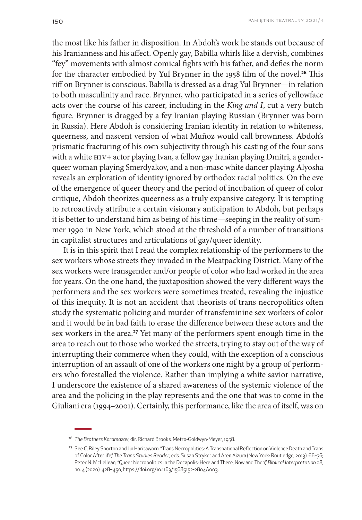the most like his father in disposition. In Abdoh's work he stands out because of his Iranianness and his affect. Openly gay, Babilla whirls like a dervish, combines "fey" movements with almost comical fights with his father, and defies the norm for the character embodied by Yul Brynner in the 1958 film of the novel.**26** This riff on Brynner is conscious. Babilla is dressed as a drag Yul Brynner—in relation to both masculinity and race. Brynner, who participated in a series of yellowface acts over the course of his career, including in the *King and I*, cut a very butch figure. Brynner is dragged by a fey Iranian playing Russian (Brynner was born in Russia). Here Abdoh is considering Iranian identity in relation to whiteness, queerness, and nascent version of what Muñoz would call brownness. Abdoh's prismatic fracturing of his own subjectivity through his casting of the four sons with a white HIV+ actor playing Ivan, a fellow gay Iranian playing Dmitri, a genderqueer woman playing Smerdyakov, and a non-masc white dancer playing Alyosha reveals an exploration of identity ignored by orthodox racial politics. On the eve of the emergence of queer theory and the period of incubation of queer of color critique, Abdoh theorizes queerness as a truly expansive category. It is tempting to retroactively attribute a certain visionary anticipation to Abdoh, but perhaps it is better to understand him as being of his time—seeping in the reality of summer 1990 in New York, which stood at the threshold of a number of transitions in capitalist structures and articulations of gay/queer identity.

It is in this spirit that I read the complex relationship of the performers to the sex workers whose streets they invaded in the Meatpacking District. Many of the sex workers were transgender and/or people of color who had worked in the area for years. On the one hand, the juxtaposition showed the very different ways the performers and the sex workers were sometimes treated, revealing the injustice of this inequity. It is not an accident that theorists of trans necropolitics often study the systematic policing and murder of transfeminine sex workers of color and it would be in bad faith to erase the difference between these actors and the sex workers in the area.**27** Yet many of the performers spent enough time in the area to reach out to those who worked the streets, trying to stay out of the way of interrupting their commerce when they could, with the exception of a conscious interruption of an assault of one of the workers one night by a group of performers who forestalled the violence. Rather than implying a white savior narrative, I underscore the existence of a shared awareness of the systemic violence of the area and the policing in the play represents and the one that was to come in the Giuliani era (1994–2001). Certainly, this performance, like the area of itself, was on

<sup>26</sup> *The Brothers Karamazov*, dir. Richard Brooks, Metro-Goldwyn-Meyer, 1958.

<sup>27</sup> See C. Riley Snorton and Jin Haritaworn, "Trans Necropolitics: A Transnational Reflection on Violence Death and Trans of Color Afterlife," *The Trans Studies Reader*, eds. Susan Stryker and Aren Aizura (New York: Routledge, 2013), 66–76; Peter N. McLellean, "Queer Necropolitics in the Decapolis: Here and There, Now and Then," *Biblical Interpretation* 28, no. 4 (2020): 428–450, [https://doi.org/10.1163/15685152-2804A003.](https://doi.org/10.1163/15685152-2804A003)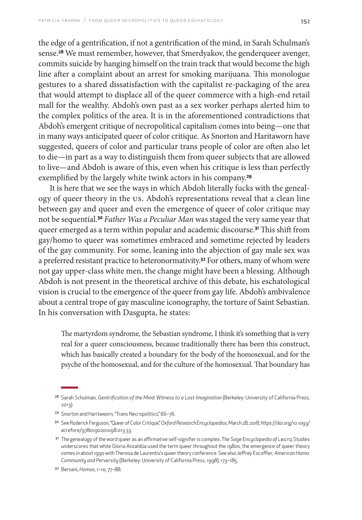the edge of a gentrification, if not a gentrification of the mind, in Sarah Schulman's sense.**28** We must remember, however, that Smerdyakov, the genderqueer avenger, commits suicide by hanging himself on the train track that would become the high line after a complaint about an arrest for smoking marijuana. This monologue gestures to a shared dissatisfaction with the capitalist re-packaging of the area that would attempt to displace all of the queer commerce with a high-end retail mall for the wealthy. Abdoh's own past as a sex worker perhaps alerted him to the complex politics of the area. It is in the aforementioned contradictions that Abdoh's emergent critique of necropolitical capitalism comes into being—one that in many ways anticipated queer of color critique. As Snorton and Haritaworn have suggested, queers of color and particular trans people of color are often also let to die—in part as a way to distinguish them from queer subjects that are allowed to live—and Abdoh is aware of this, even when his critique is less than perfectly exemplified by the largely white twink actors in his company.**<sup>29</sup>**

It is here that we see the ways in which Abdoh literally fucks with the genealogy of queer theory in the US. Abdoh's representations reveal that a clean line between gay and queer and even the emergence of queer of color critique may not be sequential.**<sup>30</sup>** *Father Was a Peculiar Man* was staged the very same year that queer emerged as a term within popular and academic discourse.**31** This shift from gay/homo to queer was sometimes embraced and sometime rejected by leaders of the gay community. For some, leaning into the abjection of gay male sex was a preferred resistant practice to heteronormativity.**32** For others, many of whom were not gay upper-class white men, the change might have been a blessing. Although Abdoh is not present in the theoretical archive of this debate, his eschatological vision is crucial to the emergence of the queer from gay life. Abdoh's ambivalence about a central trope of gay masculine iconography, the torture of Saint Sebastian. In his conversation with Dasgupta, he states:

The martyrdom syndrome, the Sebastian syndrome, I think it's something that is very real for a queer consciousness, because traditionally there has been this construct, which has basically created a boundary for the body of the homosexual, and for the psyche of the homosexual, and for the culture of the homosexual. That boundary has

<sup>28</sup> Sarah Schulman, *Gentrification of the Mind: Witness to a Lost Imagination* (Berkeley: University of California Press, 2013).

<sup>29</sup> Snorton and Haritaworn, "Trans Necropolitics," 66–76.

<sup>30</sup> See Roderick Ferguson, "Queer of Color Critique," *Oxford Research Encyclopedias*, March 28, 2018, [https://doi.org/10.1093/](https://doi.org/10.1093/acrefore/9780190201098.013.33) [acrefore/9780190201098.013.33](https://doi.org/10.1093/acrefore/9780190201098.013.33).

<sup>31</sup> The genealogy of the word queer as an affirmative self-signifier is complex. *The Sage Encyclopedia of LBGTQ Studies* underscores that while Gloria Anzaldúa used the term queer throughout the 1980s, the emergence of queer theory comes in about 1990 with Theresa de Laurentis's queer theory conference. See also Jeffrey Escoffier*, American Homo: Community and Perversity* (Berkeley: University of California Press, 1998), 173–185.

<sup>32</sup> Bersani, *Homos*, 1–10, 77–88.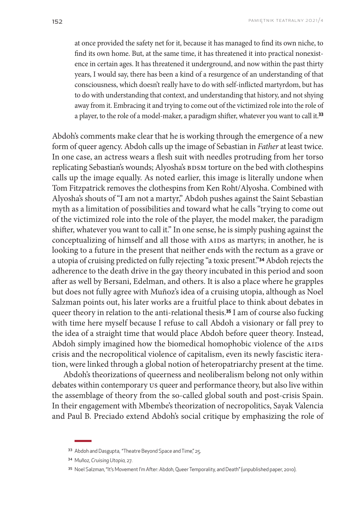at once provided the safety net for it, because it has managed to find its own niche, to find its own home. But, at the same time, it has threatened it into practical nonexistence in certain ages. It has threatened it underground, and now within the past thirty years, I would say, there has been a kind of a resurgence of an understanding of that consciousness, which doesn't really have to do with self-inflicted martyrdom, but has to do with understanding that context, and understanding that history, and not shying away from it. Embracing it and trying to come out of the victimized role into the role of a player, to the role of a model-maker, a paradigm shifter, whatever you want to call it.**<sup>33</sup>**

Abdoh's comments make clear that he is working through the emergence of a new form of queer agency. Abdoh calls up the image of Sebastian in *Father* at least twice. In one case, an actress wears a flesh suit with needles protruding from her torso replicating Sebastian's wounds; Alyosha's BDSM torture on the bed with clothespins calls up the image equally. As noted earlier, this image is literally undone when Tom Fitzpatrick removes the clothespins from Ken Roht/Alyosha. Combined with Alyosha's shouts of "I am not a martyr," Abdoh pushes against the Saint Sebastian myth as a limitation of possibilities and toward what he calls "trying to come out of the victimized role into the role of the player, the model maker, the paradigm shifter, whatever you want to call it." In one sense, he is simply pushing against the conceptualizing of himself and all those with AIDS as martyrs; in another, he is looking to a future in the present that neither ends with the rectum as a grave or a utopia of cruising predicted on fully rejecting "a toxic present."**34** Abdoh rejects the adherence to the death drive in the gay theory incubated in this period and soon after as well by Bersani, Edelman, and others. It is also a place where he grapples but does not fully agree with Muñoz's idea of a cruising utopia, although as Noel Salzman points out, his later works are a fruitful place to think about debates in queer theory in relation to the anti-relational thesis.**35** I am of course also fucking with time here myself because I refuse to call Abdoh a visionary or fall prey to the idea of a straight time that would place Abdoh before queer theory. Instead, Abdoh simply imagined how the biomedical homophobic violence of the AIDS crisis and the necropolitical violence of capitalism, even its newly fascistic iteration, were linked through a global notion of heteropatriarchy present at the time.

Abdoh's theorizations of queerness and neoliberalism belong not only within debates within contemporary US queer and performance theory, but also live within the assemblage of theory from the so-called global south and post-crisis Spain. In their engagement with Mbembe's theorization of necropolitics, Sayak Valencia and Paul B. Preciado extend Abdoh's social critique by emphasizing the role of

<sup>33</sup> Abdoh and Dasgupta, "Theatre Beyond Space and Time," 25.

<sup>34</sup> Muñoz, *Cruising Utopia,* 27.

<sup>35</sup> Noel Salzman, "It's Movement I'm After: Abdoh, Queer Temporality, and Death" (unpublished paper, 2010).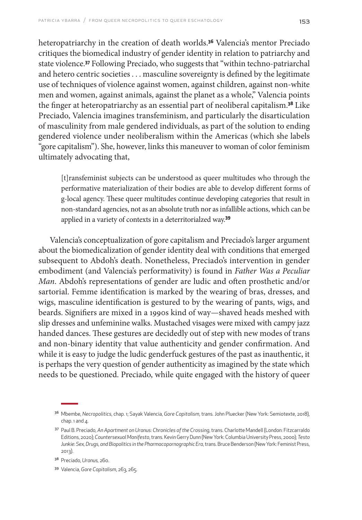heteropatriarchy in the creation of death worlds.**36** Valencia's mentor Preciado critiques the biomedical industry of gender identity in relation to patriarchy and state violence.**37** Following Preciado, who suggests that "within techno-patriarchal and hetero centric societies . . . masculine sovereignty is defined by the legitimate use of techniques of violence against women, against children, against non-white men and women, against animals, against the planet as a whole," Valencia points the finger at heteropatriarchy as an essential part of neoliberal capitalism.**38** Like Preciado, Valencia imagines transfeminism, and particularly the disarticulation of masculinity from male gendered individuals, as part of the solution to ending gendered violence under neoliberalism within the Americas (which she labels "gore capitalism"). She, however, links this maneuver to woman of color feminism ultimately advocating that,

[t]ransfeminist subjects can be understood as queer multitudes who through the performative materialization of their bodies are able to develop different forms of g-local agency. These queer multitudes continue developing categories that result in non-standard agencies, not as an absolute truth nor as infallible actions, which can be applied in a variety of contexts in a deterritorialzed way.**<sup>39</sup>**

Valencia's conceptualization of gore capitalism and Preciado's larger argument about the biomedicalization of gender identity deal with conditions that emerged subsequent to Abdoh's death. Nonetheless, Preciado's intervention in gender embodiment (and Valencia's performativity) is found in *Father Was a Peculiar Man*. Abdoh's representations of gender are ludic and often prosthetic and/or sartorial. Femme identification is marked by the wearing of bras, dresses, and wigs, masculine identification is gestured to by the wearing of pants, wigs, and beards. Signifiers are mixed in a 1990s kind of way—shaved heads meshed with slip dresses and unfeminine walks. Mustached visages were mixed with campy jazz handed dances. These gestures are decidedly out of step with new modes of trans and non-binary identity that value authenticity and gender confirmation. And while it is easy to judge the ludic genderfuck gestures of the past as inauthentic, it is perhaps the very question of gender authenticity as imagined by the state which needs to be questioned. Preciado, while quite engaged with the history of queer

<sup>36</sup> Mbembe, *Necropolitics*, chap. 1; Sayak Valencia, *Gore Capitalism*, trans. John Pluecker (New York: Semiotexte, 2018), chap.  $1$  and  $4$ .

<sup>37</sup> Paul B. Preciado, *An Apartment on Uranus: Chronicles of the Crossing*, trans. Charlotte Mandell (London: Fitzcarraldo Editions, 2020); *Countersexual Manifesto*, trans. Kevin Gerry Dunn (New York: Columbia University Press, 2000); *Testo Junkie: Sex, Drugs, and Biopolitics in the Pharmacopornographic Era*, trans. Bruce Benderson (New York: Feminist Press, 2013).

<sup>38</sup> Preciado, *Uranus,* 260.

<sup>39</sup> Valencia, Gore Capitalism, 263, 265.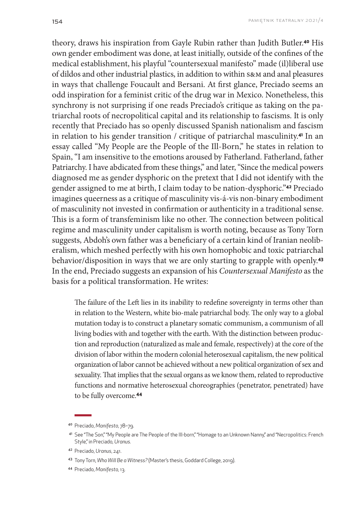theory, draws his inspiration from Gayle Rubin rather than Judith Butler.**40** His own gender embodiment was done, at least initially, outside of the confines of the medical establishment, his playful "countersexual manifesto" made (il)liberal use of dildos and other industrial plastics, in addition to within s&m and anal pleasures in ways that challenge Foucault and Bersani. At first glance, Preciado seems an odd inspiration for a feminist critic of the drug war in Mexico. Nonetheless, this synchrony is not surprising if one reads Preciado's critique as taking on the patriarchal roots of necropolitical capital and its relationship to fascisms. It is only recently that Preciado has so openly discussed Spanish nationalism and fascism in relation to his gender transition / critique of patriarchal masculinity.**41** In an essay called "My People are the People of the Ill-Born," he states in relation to Spain, "I am insensitive to the emotions aroused by Fatherland. Fatherland, father Patriarchy. I have abdicated from these things," and later, "Since the medical powers diagnosed me as gender dysphoric on the pretext that I did not identify with the gender assigned to me at birth, I claim today to be nation-dysphoric."**42** Preciado imagines queerness as a critique of masculinity vis-á-vis non-binary embodiment of masculinity not invested in confirmation or authenticity in a traditional sense. This is a form of transfeminism like no other. The connection between political regime and masculinity under capitalism is worth noting, because as Tony Torn suggests, Abdoh's own father was a beneficiary of a certain kind of Iranian neoliberalism, which meshed perfectly with his own homophobic and toxic patriarchal behavior/disposition in ways that we are only starting to grapple with openly.**<sup>43</sup>** In the end, Preciado suggests an expansion of his *Countersexual Manifesto* as the basis for a political transformation. He writes:

The failure of the Left lies in its inability to redefine sovereignty in terms other than in relation to the Western, white bio-male patriarchal body. The only way to a global mutation today is to construct a planetary somatic communism, a communism of all living bodies with and together with the earth. With the distinction between production and reproduction (naturalized as male and female, respectively) at the core of the division of labor within the modern colonial heterosexual capitalism, the new political organization of labor cannot be achieved without a new political organization of sex and sexuality. That implies that the sexual organs as we know them, related to reproductive functions and normative heterosexual choreographies (penetrator, penetrated) have to be fully overcome.**<sup>44</sup>**

<sup>40</sup> Preciado, *Manifesto*, 78–79.

<sup>41</sup> See "The Son," "My People are The People of the III-born," "Homage to an Unknown Nanny," and "Necropolitics: French Style," in Preciado*, Uranus.*

<sup>42</sup> Preciado, *Uranus*, 241.

<sup>43</sup> Tony Torn, *Who Will Be a Witness?* (Master's thesis, Goddard College, 2019).

<sup>44</sup> Preciado, *Manifesto,* 13.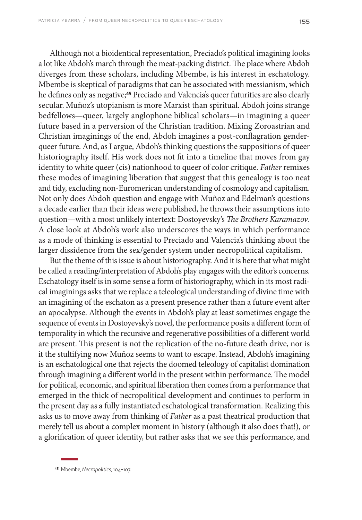Although not a bioidentical representation, Preciado's political imagining looks a lot like Abdoh's march through the meat-packing district. The place where Abdoh diverges from these scholars, including Mbembe, is his interest in eschatology. Mbembe is skeptical of paradigms that can be associated with messianism, which he defines only as negative;**45** Preciado and Valencia's queer futurities are also clearly secular. Muñoz's utopianism is more Marxist than spiritual. Abdoh joins strange bedfellows—queer, largely anglophone biblical scholars—in imagining a queer future based in a perversion of the Christian tradition. Mixing Zoroastrian and Christian imaginings of the end, Abdoh imagines a post-conflagration genderqueer future. And, as I argue, Abdoh's thinking questions the suppositions of queer historiography itself. His work does not fit into a timeline that moves from gay identity to white queer (cis) nationhood to queer of color critique*. Father* remixes these modes of imagining liberation that suggest that this genealogy is too neat and tidy, excluding non-Euromerican understanding of cosmology and capitalism. Not only does Abdoh question and engage with Muñoz and Edelman's questions a decade earlier than their ideas were published, he throws their assumptions into question—with a most unlikely intertext: Dostoyevsky's *The Brothers Karamazov*. A close look at Abdoh's work also underscores the ways in which performance as a mode of thinking is essential to Preciado and Valencia's thinking about the larger dissidence from the sex/gender system under necropolitical capitalism.

But the theme of this issue is about historiography. And it is here that what might be called a reading/interpretation of Abdoh's play engages with the editor's concerns. Eschatology itself is in some sense a form of historiography, which in its most radical imaginings asks that we replace a teleological understanding of divine time with an imagining of the eschaton as a present presence rather than a future event after an apocalypse. Although the events in Abdoh's play at least sometimes engage the sequence of events in Dostoyevsky's novel, the performance posits a different form of temporality in which the recursive and regenerative possibilities of a different world are present. This present is not the replication of the no-future death drive, nor is it the stultifying now Muñoz seems to want to escape. Instead, Abdoh's imagining is an eschatological one that rejects the doomed teleology of capitalist domination through imagining a different world in the present within performance. The model for political, economic, and spiritual liberation then comes from a performance that emerged in the thick of necropolitical development and continues to perform in the present day as a fully instantiated eschatological transformation. Realizing this asks us to move away from thinking of *Father* as a past theatrical production that merely tell us about a complex moment in history (although it also does that!), or a glorification of queer identity, but rather asks that we see this performance, and

<sup>45</sup> Mbembe, *Necropolitics*, 104–107.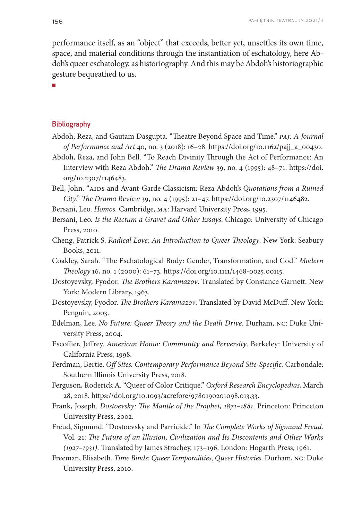performance itself, as an "object" that exceeds, better yet, unsettles its own time, space, and material conditions through the instantiation of eschatology, here Abdoh's queer eschatology, as historiography. And this may be Abdoh's historiographic gesture bequeathed to us.

■

#### **Bibliography**

- Abdoh, Reza, and Gautam Dasgupta. "Theatre Beyond Space and Time." *PAJ: A Journal of Performance and Art* 40, no. 3 (2018): 16–28. [https://doi.org/10.1162/pajj\\_a\\_00430](https://doi.org/10.1162/pajj_a_00430).
- Abdoh, Reza, and John Bell. "To Reach Divinity Through the Act of Performance: An Interview with Reza Abdoh." *The Drama Review* 39, no. 4 (1995): 48–71. [https://doi.](https://doi.org/10.2307/1146483) [org/10.2307/1146483](https://doi.org/10.2307/1146483).
- Bell, John. "AIDS and Avant-Garde Classicism: Reza Abdoh's *Quotations from a Ruined City*." *The Drama Review* 39, no. 4 (1995): 21–47[. https://doi.org/10.2307/1146482.](https://doi.org/10.2307/1146482)
- Bersani, Leo. *Homos.* Cambridge, MA: Harvard University Press, 1995.
- Bersani, Leo. *Is the Rectum a Grave? and Other Essays*. Chicago: University of Chicago Press, 2010.
- Cheng, Patrick S. *Radical Love: An Introduction to Queer Theology*. New York: Seabury Books, 2011.
- Coakley, Sarah. "The Eschatological Body: Gender, Transformation, and God." *Modern Theology* 16, no. 1 (2000): 61–73. [https://doi.org/10.1111/1468-0025.00115.](https://doi.org/10.1111/1468-0025.00115)
- Dostoyevsky, Fyodor. *The Brothers Karamazov*. Translated by Constance Garnett. New York: Modern Library, 1963.
- Dostoyevsky, Fyodor. *The Brothers Karamazov*. Translated by David McDuff. New York: Penguin, 2003.
- Edelman, Lee. *No Future: Queer Theory and the Death Drive*. Durham, NC: Duke University Press, 2004.
- Escoffier, Jeffrey. *American Homo: Community and Perversity*. Berkeley: University of California Press, 1998.
- Ferdman, Bertie. *Off Sites: Contemporary Performance Beyond Site-Specific.* Carbondale: Southern Illinois University Press, 2018.
- Ferguson*,* Roderick A. "Queer of Color Critique." *Oxford Research Encyclopedias*, March 28, 2018[. https://doi.org/10.1093/acrefore/9780190201098.013.33.](https://doi.org/10.1093/acrefore/9780190201098.013.33)
- Frank, Joseph. *Dostoevsky: The Mantle of the Prophet, 1871–1881*. Princeton: Princeton University Press, 2002.
- Freud, Sigmund. "Dostoevsky and Parricide." In *The Complete Works of Sigmund Freud*. Vol. 21: *The Future of an Illusion, Civilization and Its Discontents and Other Works (1927–1931)*. Translated by James Strachey, 173–196. London: Hogarth Press, 1961.
- Freeman, Elisabeth. *Time Binds: Queer Temporalities, Queer Histories*. Durham, NC: Duke University Press, 2010.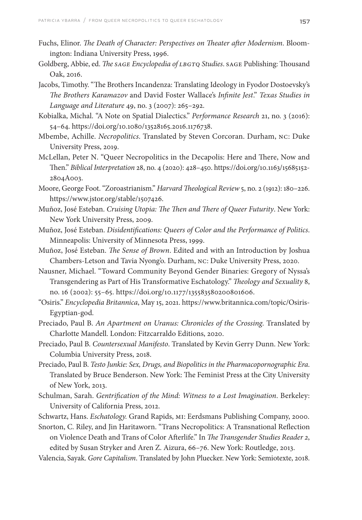- Fuchs, Elinor. *The Death of Character: Perspectives on Theater after Modernism*. Bloomington: Indiana University Press, 1996.
- Goldberg, Abbie, ed. *The SAGE Encyclopedia of LBGTQ Studies*. SAGE Publishing: Thousand Oak, 2016.
- Jacobs, Timothy. "The Brothers Incandenza: Translating Ideology in Fyodor Dostoevsky's *The Brothers Karamazov* and David Foster Wallace's *Infinite Jest*." *Texas Studies in Language and Literature* 49, no. 3 (2007): 265–292.
- Kobialka, Michal. "A Note on Spatial Dialectics." *Performance Research* 21, no. 3 (2016): 54–64.<https://doi.org/10.1080/13528165.2016.1176738>.
- Mbembe, Achille. *Necropolitics*. Translated by Steven Corcoran. Durham, NC: Duke University Press, 2019.
- McLellan, Peter N. "Queer Necropolitics in the Decapolis: Here and There, Now and Then." *Biblical Interpretation* 28, no. 4 (2020): 428–450. [https://doi.org/10.1163/15685152-](https://doi.org/10.1163/15685152) 2804A003.
- Moore, George Foot. "Zoroastrianism." *Harvard Theological Review* 5, no. 2 (1912): 180–226. [https://www.jstor.org/stable/1507426.](https://www.jstor.org/stable/1507426)
- Muñoz, José Esteban. *Cruising Utopia: The Then and There of Queer Futurity*. New York: New York University Press, 2009.
- Muñoz, José Esteban. *Disidentifications: Queers of Color and the Performance of Politics*. Minneapolis: University of Minnesota Press, 1999.
- Muñoz, José Esteban. *The Sense of Brown*. Edited and with an Introduction by Joshua Chambers-Letson and Tavia Nyong'o. Durham, NC: Duke University Press, 2020.
- Nausner, Michael. "Toward Community Beyond Gender Binaries: Gregory of Nyssa's Transgendering as Part of His Transformative Eschatology." *Theology and Sexuality* 8, no. 16 (2002): 55–65.<https://doi.org/10.1177/135583580200801606>.
- "Osiris." *Encyclopedia Britannica*, May 15, 2021[. https://www.britannica.com/topic/Osiris-](https://www.britannica.com/topic/Osiris-Egyptian-god)[Egyptian-god](https://www.britannica.com/topic/Osiris-Egyptian-god).
- Preciado, Paul B. *An Apartment on Uranus: Chronicles of the Crossing.* Translated by Charlotte Mandell. London: Fitzcarraldo Editions, 2020.
- Preciado, Paul B. *Countersexual Manifesto*. Translated by Kevin Gerry Dunn. New York: Columbia University Press, 2018.
- Preciado, Paul B. *Testo Junkie: Sex, Drugs, and Biopolitics in the Pharmacopornographic Era*. Translated by Bruce Benderson. New York: The Feminist Press at the City University of New York, 2013.
- Schulman, Sarah. *Gentrification of the Mind: Witness to a Lost Imagination*. Berkeley: University of California Press, 2012.
- Schwartz, Hans. *Eschatology.* Grand Rapids, MI: Eerdsmans Publishing Company, 2000.
- Snorton, C. Riley, and Jin Haritaworn. "Trans Necropolitics: A Transnational Reflection on Violence Death and Trans of Color Afterlife." In *The Transgender Studies Reader 2*, edited by Susan Stryker and Aren Z. Aizura, 66–76. New York: Routledge, 2013.
- Valencia, Sayak. *Gore Capitalism*. Translated by John Pluecker. New York: Semiotexte, 2018.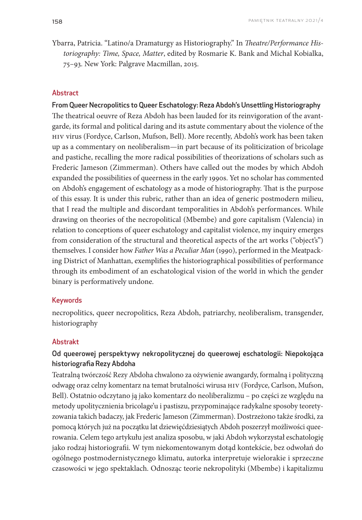Ybarra, Patricia. "Latino/a Dramaturgy as Historiography." In *Theatre/Performance Historiography: Time, Space, Matter*, edited by Rosmarie K. Bank and Michal Kobialka, 75–93. New York: Palgrave Macmillan, 2015.

#### **Abstract**

From Queer Necropolitics to Queer Eschatology: Reza Abdoh's Unsettling Historiography The theatrical oeuvre of Reza Abdoh has been lauded for its reinvigoration of the avantgarde, its formal and political daring and its astute commentary about the violence of the HIV virus (Fordyce, Carlson, Mufson, Bell). More recently, Abdoh's work has been taken up as a commentary on neoliberalism—in part because of its politicization of bricolage and pastiche, recalling the more radical possibilities of theorizations of scholars such as Frederic Jameson (Zimmerman). Others have called out the modes by which Abdoh expanded the possibilities of queerness in the early 1990s. Yet no scholar has commented on Abdoh's engagement of eschatology as a mode of historiography. That is the purpose of this essay. It is under this rubric, rather than an idea of generic postmodern milieu, that I read the multiple and discordant temporalities in Abdoh's performances. While drawing on theories of the necropolitical (Mbembe) and gore capitalism (Valencia) in relation to conceptions of queer eschatology and capitalist violence, my inquiry emerges from consideration of the structural and theoretical aspects of the art works ("object's") themselves. I consider how *Father Was a Peculiar Man* (1990), performed in the Meatpacking District of Manhattan, exemplifies the historiographical possibilities of performance through its embodiment of an eschatological vision of the world in which the gender binary is performatively undone.

#### Keywords

necropolitics, queer necropolitics, Reza Abdoh, patriarchy, neoliberalism, transgender, historiography

#### Abstrakt

### Od queerowej perspektywy nekropolitycznej do queerowej eschatologii: Niepokojąca historiografia Rezy Abdoha

Teatralną twórczość Rezy Abdoha chwalono za ożywienie awangardy, formalną i polityczną odwagę oraz celny komentarz na temat brutalności wirusa HIV (Fordyce, Carlson, Mufson, Bell). Ostatnio odczytano ją jako komentarz do neoliberalizmu – po części ze względu na metody upolitycznienia bricolage'u i pastiszu, przypominające radykalne sposoby teoretyzowania takich badaczy, jak Frederic Jameson (Zimmerman). Dostrzeżono także środki, za pomocą których już na początku lat dziewięćdziesiątych Abdoh poszerzył możliwości queerowania. Celem tego artykułu jest analiza sposobu, w jaki Abdoh wykorzystał eschatologię jako rodzaj historiografii. W tym niekomentowanym dotąd kontekście, bez odwołań do ogólnego postmodernistycznego klimatu, autorka interpretuje wielorakie i sprzeczne czasowości w jego spektaklach. Odnosząc teorie nekropolityki (Mbembe) i kapitalizmu